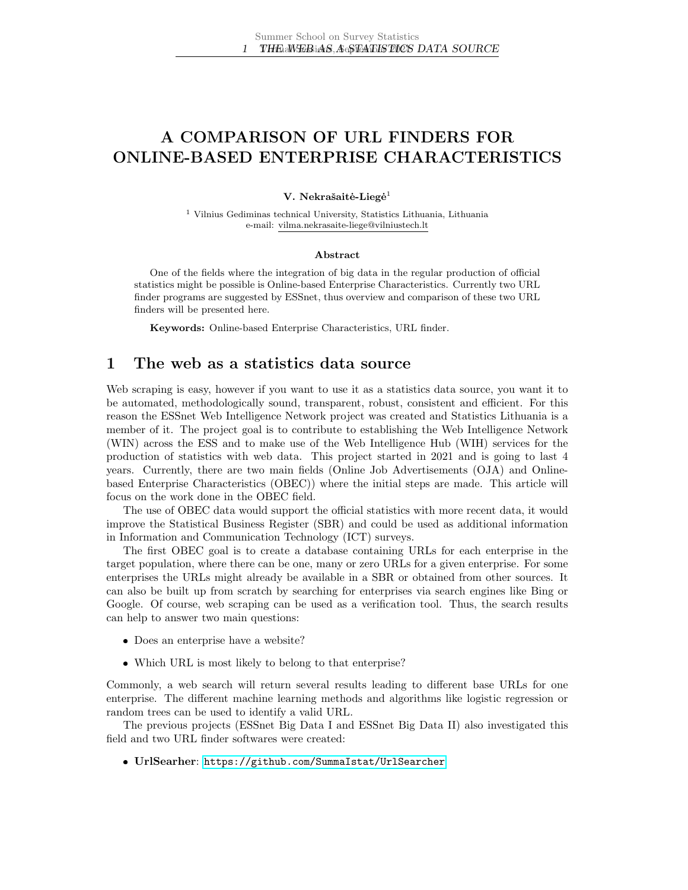# A COMPARISON OF URL FINDERS FOR ONLINE-BASED ENTERPRISE CHARACTERISTICS

#### V. Nekrašaitė-Liegė<sup>1</sup>

<sup>1</sup> Vilnius Gediminas technical University, Statistics Lithuania, Lithuania e-mail: vilma.nekrasaite-liege@vilniustech.lt

#### Abstract

One of the fields where the integration of big data in the regular production of official statistics might be possible is Online-based Enterprise Characteristics. Currently two URL finder programs are suggested by ESSnet, thus overview and comparison of these two URL finders will be presented here.

Keywords: Online-based Enterprise Characteristics, URL finder.

## 1 The web as a statistics data source

Web scraping is easy, however if you want to use it as a statistics data source, you want it to be automated, methodologically sound, transparent, robust, consistent and efficient. For this reason the ESSnet Web Intelligence Network project was created and Statistics Lithuania is a member of it. The project goal is to contribute to establishing the Web Intelligence Network (WIN) across the ESS and to make use of the Web Intelligence Hub (WIH) services for the production of statistics with web data. This project started in 2021 and is going to last 4 years. Currently, there are two main fields (Online Job Advertisements (OJA) and Onlinebased Enterprise Characteristics (OBEC)) where the initial steps are made. This article will focus on the work done in the OBEC field.

The use of OBEC data would support the official statistics with more recent data, it would improve the Statistical Business Register (SBR) and could be used as additional information in Information and Communication Technology (ICT) surveys.

The first OBEC goal is to create a database containing URLs for each enterprise in the target population, where there can be one, many or zero URLs for a given enterprise. For some enterprises the URLs might already be available in a SBR or obtained from other sources. It can also be built up from scratch by searching for enterprises via search engines like Bing or Google. Of course, web scraping can be used as a verification tool. Thus, the search results can help to answer two main questions:

- Does an enterprise have a website?
- Which URL is most likely to belong to that enterprise?

Commonly, a web search will return several results leading to different base URLs for one enterprise. The different machine learning methods and algorithms like logistic regression or random trees can be used to identify a valid URL.

The previous projects (ESSnet Big Data I and ESSnet Big Data II) also investigated this field and two URL finder softwares were created:

UrlSearher: <https://github.com/SummaIstat/UrlSearcher>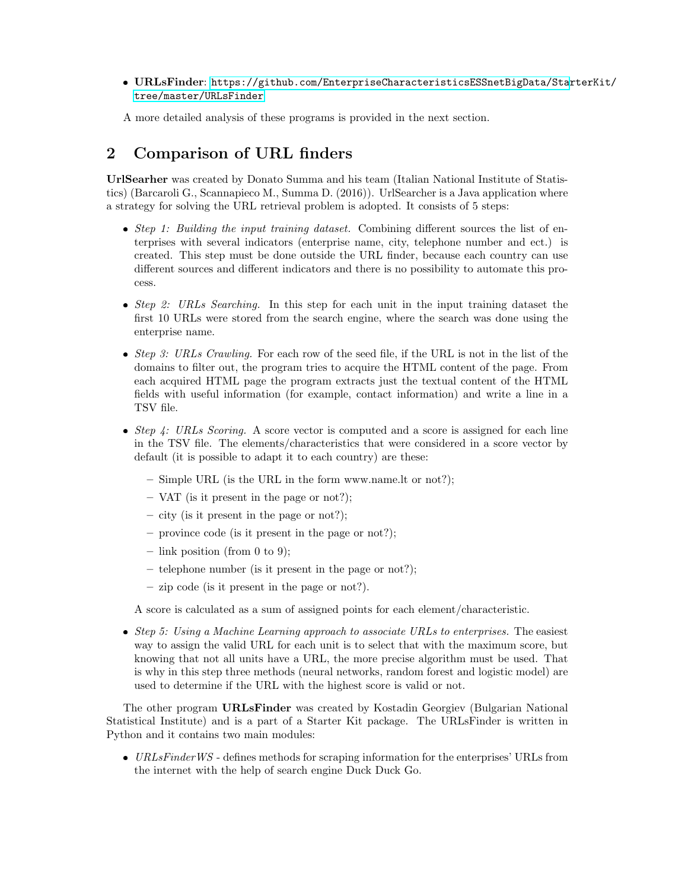### URLsFinder: [https://github.com/EnterpriseCharacteristicsESSnetBigData/Sta](https://github.com/EnterpriseCharacteristicsESSnetBigData/StarterKit/tree/master/URLsFinder)rterKit/ [tree/master/URLsFinder](https://github.com/EnterpriseCharacteristicsESSnetBigData/StarterKit/tree/master/URLsFinder)

A more detailed analysis of these programs is provided in the next section.

# 2 Comparison of URL finders

UrlSearher was created by Donato Summa and his team (Italian National Institute of Statistics) (Barcaroli G., Scannapieco M., Summa D. (2016)). UrlSearcher is a Java application where a strategy for solving the URL retrieval problem is adopted. It consists of 5 steps:

- Step 1: Building the input training dataset. Combining different sources the list of enterprises with several indicators (enterprise name, city, telephone number and ect.) is created. This step must be done outside the URL finder, because each country can use different sources and different indicators and there is no possibility to automate this process.
- $\bullet$  *Step 2: URLs Searching.* In this step for each unit in the input training dataset the first 10 URLs were stored from the search engine, where the search was done using the enterprise name.
- Step 3: URLs Crawling. For each row of the seed file, if the URL is not in the list of the domains to filter out, the program tries to acquire the HTML content of the page. From each acquired HTML page the program extracts just the textual content of the HTML fields with useful information (for example, contact information) and write a line in a TSV file.
- Step 4: URLs Scoring. A score vector is computed and a score is assigned for each line in the TSV file. The elements/characteristics that were considered in a score vector by default (it is possible to adapt it to each country) are these:
	- Simple URL (is the URL in the form www.name.lt or not?);
	- VAT (is it present in the page or not?);
	- city (is it present in the page or not?);
	- province code (is it present in the page or not?);
	- $-$  link position (from 0 to 9);
	- telephone number (is it present in the page or not?);
	- zip code (is it present in the page or not?).

A score is calculated as a sum of assigned points for each element/characteristic.

 $\bullet$  Step 5: Using a Machine Learning approach to associate URLs to enterprises. The easiest way to assign the valid URL for each unit is to select that with the maximum score, but knowing that not all units have a URL, the more precise algorithm must be used. That is why in this step three methods (neural networks, random forest and logistic model) are used to determine if the URL with the highest score is valid or not.

The other program URLsFinder was created by Kostadin Georgiev (Bulgarian National Statistical Institute) and is a part of a Starter Kit package. The URLsFinder is written in Python and it contains two main modules:

 $\bullet$  URLsFinderWS - defines methods for scraping information for the enterprises' URLs from the internet with the help of search engine Duck Duck Go.